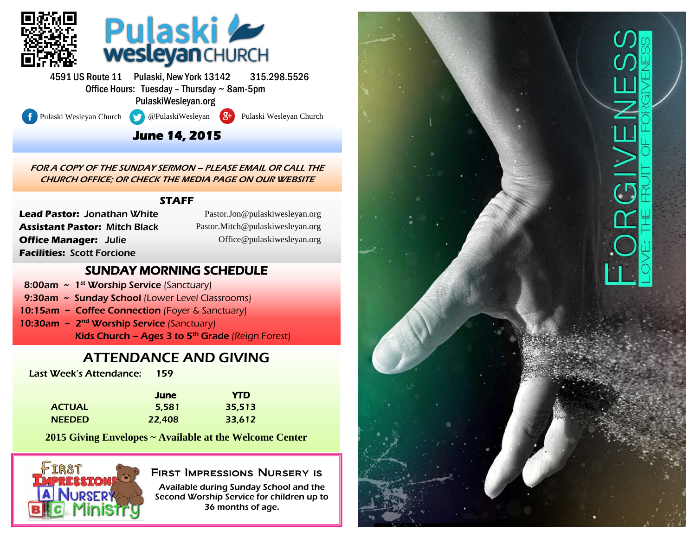

4591 US Route 11 Pulaski, New York 13142 315.298.5526 Office Hours: Tuesday – Thursday ~ 8am-5pm PulaskiWesleyan.org

l

Pulaski Wesleyan Church @PulaskiWesleyan 8<sup>+</sup> Pulaski Wesleyan Church

# **June 14, 2015**

FOR A COPY OF THE SUNDAY SERMON – PLEASE EMAIL OR CALL THE CHURCH OFFICE; OR CHECK THE MEDIA PAGE ON OUR WEBSITE

### **STAFF**

**Lead Pastor:** Jonathan White **Assistant Pastor:** Mitch Black **Office Manager:** Julie **Facilities:** Scott Forcione

(Pastor.Jon@pulaskiwesleyan.org) Pastor.Jon@pulaskiwesleyan.org (Pastor.Mitch@pulaskiwesleyan.org) Pastor.Mitch@pulaskiwesleyan.org (Office@pulaskiwesleyan.org) Office@pulaskiwesleyan.org

## SUNDAY MORNING SCHEDULE

- 8:00am  $\sim 1^{st}$  Worship Service (Sanctuary)
- 9:30am ~ Sunday School (Lower Level Classrooms)
- 10:15am ~ Coffee Connection (Foyer & Sanctuary)
- 10:30am ~ 2<sup>nd</sup> Worship Service (Sanctuary) Kids Church – Ages 3 to  $5<sup>th</sup>$  Grade (Reign Forest)

# ATTENDANCE AND GIVING

Last Week's Attendance: 159

|               | June   | <b>YTD</b> |
|---------------|--------|------------|
| <b>ACTUAL</b> | 5.581  | 35,513     |
| <b>NEEDED</b> | 22,408 | 33,612     |

**2015 Giving Envelopes ~ Available at the Welcome Center**



## First Impressions Nursery is

Available during Sunday School and the Second Worship Service for children up to 36 months of age.